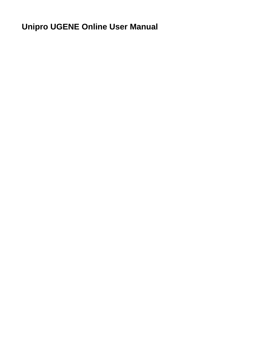## **Unipro UGENE Online User Manual**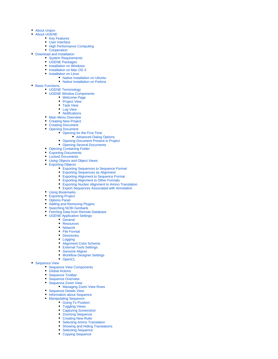- [About Unipro](https://doc.ugene.net/wiki/display/UUOUM16/About+Unipro)
- [About UGENE](https://doc.ugene.net/wiki/display/UUOUM16/About+UGENE)
	- [Key Features](https://doc.ugene.net/wiki/display/UUOUM16/Key+Features)
		- [User Interface](https://doc.ugene.net/wiki/display/UUOUM16/User+Interface)
		- [High Performance Computing](https://doc.ugene.net/wiki/display/UUOUM16/High+Performance+Computing)
	- [Cooperation](https://doc.ugene.net/wiki/display/UUOUM16/Cooperation)
- [Download and Installation](https://doc.ugene.net/wiki/display/UUOUM16/Download+and+Installation)
	- [System Requirements](https://doc.ugene.net/wiki/display/UUOUM16/System+Requirements)
	- [UGENE Packages](https://doc.ugene.net/wiki/display/UUOUM16/UGENE+Packages)
	- [Installation on Windows](https://doc.ugene.net/wiki/display/UUOUM16/Installation+on+Windows) • [Installation on Mac OS X](https://doc.ugene.net/wiki/display/UUOUM16/Installation+on+Mac+OS+X)
	- [Installation on Linux](https://doc.ugene.net/wiki/display/UUOUM16/Installation+on+Linux)
		- [Native Installation on Ubuntu](https://doc.ugene.net/wiki/display/UUOUM16/Native+Installation+on+Ubuntu)
			- [Native Installation on Fedora](https://doc.ugene.net/wiki/display/UUOUM16/Native+Installation+on+Fedora)
- [Basic Functions](https://doc.ugene.net/wiki/display/UUOUM16/Basic+Functions)
	- [UGENE Terminology](https://doc.ugene.net/wiki/display/UUOUM16/UGENE+Terminology)
	- [UGENE Window Components](https://doc.ugene.net/wiki/display/UUOUM16/UGENE+Window+Components)
		- [Welcome Page](https://doc.ugene.net/wiki/display/UUOUM16/Welcome+Page)
		- [Project View](https://doc.ugene.net/wiki/display/UUOUM16/Project+View)
			- [Task View](https://doc.ugene.net/wiki/display/UUOUM16/Task+View)
			- [Log View](https://doc.ugene.net/wiki/display/UUOUM16/Log+View)
		- [Notifications](https://doc.ugene.net/wiki/display/UUOUM16/Notifications)
	- **[Main Menu Overview](https://doc.ugene.net/wiki/display/UUOUM16/Main+Menu+Overview)**
	- [Creating New Project](https://doc.ugene.net/wiki/display/UUOUM16/Creating+New+Project)
	- [Creating Document](https://doc.ugene.net/wiki/display/UUOUM16/Creating+Document)
	- [Opening Document](https://doc.ugene.net/wiki/display/UUOUM16/Opening+Document)
		- [Opening for the First Time](https://doc.ugene.net/wiki/display/UUOUM16/Opening+for+the+First+Time)
			- [Advanced Dialog Options](https://doc.ugene.net/wiki/display/UUOUM16/Advanced+Dialog+Options)
		- [Opening Document Present in Project](https://doc.ugene.net/wiki/display/UUOUM16/Opening+Document+Present+in+Project)
		- [Opening Several Documents](https://doc.ugene.net/wiki/display/UUOUM16/Opening+Several+Documents)
	- [Opening Containing Folder](https://doc.ugene.net/wiki/display/UUOUM16/Opening+Containing+Folder)
	- [Exporting Documents](https://doc.ugene.net/wiki/display/UUOUM16/Exporting+Documents)
	- [Locked Documents](https://doc.ugene.net/wiki/display/UUOUM16/Locked+Documents)
	- [Using Objects and Object Views](https://doc.ugene.net/wiki/display/UUOUM16/Using+Objects+and+Object+Views)
	- [Exporting Objects](https://doc.ugene.net/wiki/display/UUOUM16/Exporting+Objects)
		- [Exporting Sequences to Sequence Format](https://doc.ugene.net/wiki/display/UUOUM16/Exporting+Sequences+to+Sequence+Format)
		- [Exporting Sequences as Alignment](https://doc.ugene.net/wiki/display/UUOUM16/Exporting+Sequences+as+Alignment)
		- [Exporting Alignment to Sequence Format](https://doc.ugene.net/wiki/display/UUOUM16/Exporting+Alignment+to+Sequence+Format)
		- [Exporting Alignment to Other Formats](https://doc.ugene.net/wiki/display/UUOUM16/Exporting+Alignment+to+Other+Formats)
		- [Exporting Nucleic Alignment to Amino Translation](https://doc.ugene.net/wiki/display/UUOUM16/Exporting+Nucleic+Alignment+to+Amino+Translation)
		- [Export Sequences Associated with Annotation](https://doc.ugene.net/wiki/display/UUOUM16/Export+Sequences+Associated+with+Annotation)
	- [Using Bookmarks](https://doc.ugene.net/wiki/display/UUOUM16/Using+Bookmarks)
	- [Exporting Project](https://doc.ugene.net/wiki/display/UUOUM16/Exporting+Project)
	- [Options Panel](https://doc.ugene.net/wiki/display/UUOUM16/Options+Panel)
	- [Adding and Removing Plugins](https://doc.ugene.net/wiki/display/UUOUM16/Adding+and+Removing+Plugins)
	- [Searching NCBI Genbank](https://doc.ugene.net/wiki/display/UUOUM16/Searching+NCBI+Genbank)
	- [Fetching Data from Remote Database](https://doc.ugene.net/wiki/display/UUOUM16/Fetching+Data+from+Remote+Database)
	- [UGENE Application Settings](https://doc.ugene.net/wiki/display/UUOUM16/UGENE+Application+Settings)
		- [General](https://doc.ugene.net/wiki/display/UUOUM16/General)
		-
		- [Resources](https://doc.ugene.net/wiki/display/UUOUM16/Resources)
		- [Network](https://doc.ugene.net/wiki/display/UUOUM16/Network)
		- [File Format](https://doc.ugene.net/wiki/display/UUOUM16/File+Format)
		- **[Directories](https://doc.ugene.net/wiki/display/UUOUM16/Directories)**
		- [Logging](https://doc.ugene.net/wiki/display/UUOUM16/Logging)
		- [Alignment Color Scheme](https://doc.ugene.net/wiki/display/UUOUM16/Alignment+Color+Scheme)
		- [External Tools Settings](https://doc.ugene.net/wiki/display/UUOUM16/External+Tools+Settings)
		- [Genome Aligner](https://doc.ugene.net/wiki/display/UUOUM16/Genome+Aligner)
		- [Workflow Designer Settings](https://doc.ugene.net/wiki/display/UUOUM16/Workflow+Designer+Settings) **[OpenCL](https://doc.ugene.net/wiki/display/UUOUM16/OpenCL)**
- [Sequence View](https://doc.ugene.net/wiki/display/UUOUM16/Sequence+View)
	- [Sequence View Components](https://doc.ugene.net/wiki/display/UUOUM16/Sequence+View+Components)
		-
		- [Global Actions](https://doc.ugene.net/wiki/display/UUOUM16/Global+Actions)
		- [Sequence Toolbar](https://doc.ugene.net/wiki/display/UUOUM16/Sequence+Toolbar)
		- [Sequence Overview](https://doc.ugene.net/wiki/display/UUOUM16/Sequence+Overview)
			- [Sequence Zoom View](https://doc.ugene.net/wiki/display/UUOUM16/Sequence+Zoom+View)
				- [Managing Zoom View Rows](https://doc.ugene.net/wiki/display/UUOUM16/Managing+Zoom+View+Rows)
		- [Sequence Details View](https://doc.ugene.net/wiki/display/UUOUM16/Sequence+Details+View)
		- [Information about Sequence](https://doc.ugene.net/wiki/display/UUOUM16/Information+about+Sequence)
		- [Manipulating Sequence](https://doc.ugene.net/wiki/display/UUOUM16/Manipulating+Sequence)
			- [Going To Position](https://doc.ugene.net/wiki/display/UUOUM16/Going+To+Position)
			- [Toggling Views](https://doc.ugene.net/wiki/display/UUOUM16/Toggling+Views)
			- [Capturing Screenshot](https://doc.ugene.net/wiki/display/UUOUM16/Capturing+Screenshot)
			- [Zooming Sequence](https://doc.ugene.net/wiki/display/UUOUM16/Zooming+Sequence)
			- [Creating New Ruler](https://doc.ugene.net/wiki/display/UUOUM16/Creating+New+Ruler)
			- [Selecting Amino Translation](https://doc.ugene.net/wiki/display/UUOUM16/Selecting+Amino+Translation)
			- [Showing and Hiding Translations](https://doc.ugene.net/wiki/display/UUOUM16/Showing+and+Hiding+Translations) [Selecting Sequence](https://doc.ugene.net/wiki/display/UUOUM16/Selecting+Sequence)
			-
			- [Copying Sequence](https://doc.ugene.net/wiki/display/UUOUM16/Copying+Sequence)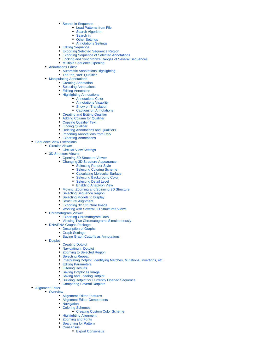- [Search in Sequence](https://doc.ugene.net/wiki/display/UUOUM16/Search+in+Sequence)
	- [Load Patterns from File](https://doc.ugene.net/wiki/display/UUOUM16/Load+Patterns+from+File)
	- [Search Algorithm](https://doc.ugene.net/wiki/display/UUOUM16/Search+Algorithm)
	- [Search in](https://doc.ugene.net/wiki/display/UUOUM16/Search+in)
	- [Other Settings](https://doc.ugene.net/wiki/display/UUOUM16/Other+Settings)
	- [Annotations Settings](https://doc.ugene.net/wiki/display/UUOUM16/Annotations+Settings)
- [Editing Sequence](https://doc.ugene.net/wiki/display/UUOUM16/Editing+Sequence)
- [Exporting Selected Sequence Region](https://doc.ugene.net/wiki/display/UUOUM16/Exporting+Selected+Sequence+Region)
- [Exporting Sequence of Selected Annotations](https://doc.ugene.net/wiki/display/UUOUM16/Exporting+Sequence+of+Selected+Annotations)
- [Locking and Synchronize Ranges of Several Sequences](https://doc.ugene.net/wiki/display/UUOUM16/Locking+and+Synchronize+Ranges+of+Several+Sequences)
- [Multiple Sequence Opening](https://doc.ugene.net/wiki/display/UUOUM16/Multiple+Sequence+Opening)
- [Annotations Editor](https://doc.ugene.net/wiki/display/UUOUM16/Annotations+Editor)
	- [Automatic Annotations Highlighting](https://doc.ugene.net/wiki/display/UUOUM16/Automatic+Annotations+Highlighting)
	- [The "db\\_xref" Qualifier](https://doc.ugene.net/wiki/pages/viewpage.action?pageId=14058953)
- **[Manipulating Annotations](https://doc.ugene.net/wiki/display/UUOUM16/Manipulating+Annotations)** 
	- [Creating Annotation](https://doc.ugene.net/wiki/display/UUOUM16/Creating+Annotation)
	- [Selecting Annotations](https://doc.ugene.net/wiki/display/UUOUM16/Selecting+Annotations)
	- **[Editing Annotation](https://doc.ugene.net/wiki/display/UUOUM16/Editing+Annotation)**
	- [Highlighting Annotations](https://doc.ugene.net/wiki/display/UUOUM16/Highlighting+Annotations)
		- [Annotations Color](https://doc.ugene.net/wiki/display/UUOUM16/Annotations+Color)
		- [Annotations Visability](https://doc.ugene.net/wiki/display/UUOUM16/Annotations+Visability)
		- [Show on Translation](https://doc.ugene.net/wiki/display/UUOUM16/Show+on+Translation)
		- [Captions on Annotations](https://doc.ugene.net/wiki/display/UUOUM16/Captions+on+Annotations)
	- [Creating and Editing Qualifier](https://doc.ugene.net/wiki/display/UUOUM16/Creating+and+Editing+Qualifier)
	- [Adding Column for Qualifier](https://doc.ugene.net/wiki/display/UUOUM16/Adding+Column+for+Qualifier)
	- [Copying Qualifier Text](https://doc.ugene.net/wiki/display/UUOUM16/Copying+Qualifier+Text)
	- [Finding Qualifier](https://doc.ugene.net/wiki/display/UUOUM16/Finding+Qualifier)
	- [Deleting Annotations and Qualifiers](https://doc.ugene.net/wiki/display/UUOUM16/Deleting+Annotations+and+Qualifiers)
	- [Importing Annotations from CSV](https://doc.ugene.net/wiki/display/UUOUM16/Importing+Annotations+from+CSV)
	- [Exporting Annotations](https://doc.ugene.net/wiki/display/UUOUM16/Exporting+Annotations)
- [Sequence View Extensions](https://doc.ugene.net/wiki/display/UUOUM16/Sequence+View+Extensions)
	- [Circular Viewer](https://doc.ugene.net/wiki/display/UUOUM16/Circular+Viewer)
		- [Circular View Settings](https://doc.ugene.net/wiki/display/UUOUM16/Circular+View+Settings)
		- [3D Structure Viewer](https://doc.ugene.net/wiki/display/UUOUM16/3D+Structure+Viewer)
			- [Opening 3D Structure Viewer](https://doc.ugene.net/wiki/display/UUOUM16/Opening+3D+Structure+Viewer)
			- [Changing 3D Structure Appearance](https://doc.ugene.net/wiki/display/UUOUM16/Changing+3D+Structure+Appearance)
				- [Selecting Render Style](https://doc.ugene.net/wiki/display/UUOUM16/Selecting+Render+Style)
				- [Selecting Coloring Scheme](https://doc.ugene.net/wiki/display/UUOUM16/Selecting+Coloring+Scheme)
				- $\bullet$ [Calculating Molecular Surface](https://doc.ugene.net/wiki/display/UUOUM16/Calculating+Molecular+Surface)
				- $\bullet$ [Selecting Background Color](https://doc.ugene.net/wiki/display/UUOUM16/Selecting+Background+Color)
				- $\bullet$ [Selecting Detail Level](https://doc.ugene.net/wiki/display/UUOUM16/Selecting+Detail+Level)
				- [Enabling Anaglyph View](https://doc.ugene.net/wiki/display/UUOUM16/Enabling+Anaglyph+View)
			- [Moving, Zooming and Spinning 3D Structure](https://doc.ugene.net/wiki/display/UUOUM16/Moving%2C+Zooming+and+Spinning+3D+Structure)
			- [Selecting Sequence Region](https://doc.ugene.net/wiki/display/UUOUM16/Selecting+Sequence+Region)
			- [Selecting Models to Display](https://doc.ugene.net/wiki/display/UUOUM16/Selecting+Models+to+Display)
			- [Structural Alignment](https://doc.ugene.net/wiki/display/UUOUM16/Structural+Alignment)
			- [Exporting 3D Structure Image](https://doc.ugene.net/wiki/display/UUOUM16/Exporting+3D+Structure+Image)
			- [Working with Several 3D Structures Views](https://doc.ugene.net/wiki/display/UUOUM16/Working+with+Several+3D+Structures+Views)
		- [Chromatogram Viewer](https://doc.ugene.net/wiki/display/UUOUM16/Chromatogram+Viewer)
			- [Exporting Chromatogram Data](https://doc.ugene.net/wiki/display/UUOUM16/Exporting+Chromatogram+Data)
			- [Viewing Two Chromatograms Simultaneously](https://doc.ugene.net/wiki/display/UUOUM16/Viewing+Two+Chromatograms+Simultaneously)
		- [DNA/RNA Graphs Package](https://doc.ugene.net/wiki/pages/viewpage.action?pageId=14058991)
			- [Description of Graphs](https://doc.ugene.net/wiki/display/UUOUM16/Description+of+Graphs)
				- [Graph Settings](https://doc.ugene.net/wiki/display/UUOUM16/Graph+Settings)
				- [Saving Graph Cuttoffs as Annotations](https://doc.ugene.net/wiki/display/UUOUM16/Saving+Graph+Cuttoffs+as+Annotations)
		- [Dotplot](https://doc.ugene.net/wiki/display/UUOUM16/Dotplot)
			- [Creating Dotplot](https://doc.ugene.net/wiki/display/UUOUM16/Creating+Dotplot)
			- [Navigating in Dotplot](https://doc.ugene.net/wiki/display/UUOUM16/Navigating+in+Dotplot)
			- [Zooming to Selected Region](https://doc.ugene.net/wiki/display/UUOUM16/Zooming+to+Selected+Region)
			- [Selecting Repeat](https://doc.ugene.net/wiki/display/UUOUM16/Selecting+Repeat)
			- [Interpreting Dotplot: Identifying Matches, Mutations, Invertions, etc.](https://doc.ugene.net/wiki/pages/viewpage.action?pageId=14059000)
			- [Editing Parameters](https://doc.ugene.net/wiki/display/UUOUM16/Editing+Parameters)
			- [Filtering Results](https://doc.ugene.net/wiki/display/UUOUM16/Filtering+Results)
			- [Saving Dotplot as Image](https://doc.ugene.net/wiki/display/UUOUM16/Saving+Dotplot+as+Image)
			- [Saving and Loading Dotplot](https://doc.ugene.net/wiki/display/UUOUM16/Saving+and+Loading+Dotplot)
			- [Building Dotplot for Currently Opened Sequence](https://doc.ugene.net/wiki/display/UUOUM16/Building+Dotplot+for+Currently+Opened+Sequence)
			- [Comparing Several Dotplots](https://doc.ugene.net/wiki/display/UUOUM16/Comparing+Several+Dotplots)
- [Alignment Editor](https://doc.ugene.net/wiki/display/UUOUM16/Alignment+Editor)
	- [Overview](https://doc.ugene.net/wiki/display/UUOUM16/Overview)
		- [Alignment Editor Features](https://doc.ugene.net/wiki/display/UUOUM16/Alignment+Editor+Features)
		- [Alignment Editor Components](https://doc.ugene.net/wiki/display/UUOUM16/Alignment+Editor+Components)
		- **[Navigation](https://doc.ugene.net/wiki/display/UUOUM16/Navigation)**
		- [Coloring Schemes](https://doc.ugene.net/wiki/display/UUOUM16/Coloring+Schemes)
			- [Creating Custom Color Scheme](https://doc.ugene.net/wiki/display/UUOUM16/Creating+Custom+Color+Scheme)
		- [Highlighting Alignment](https://doc.ugene.net/wiki/display/UUOUM16/Highlighting+Alignment)
		- [Zooming and Fonts](https://doc.ugene.net/wiki/display/UUOUM16/Zooming+and+Fonts)
		- $\bullet$ [Searching for Pattern](https://doc.ugene.net/wiki/display/UUOUM16/Searching+for+Pattern)
			- **[Consensus](https://doc.ugene.net/wiki/display/UUOUM16/Consensus)** 
				- [Export Consensus](https://doc.ugene.net/wiki/display/UUOUM16/Export+Consensus)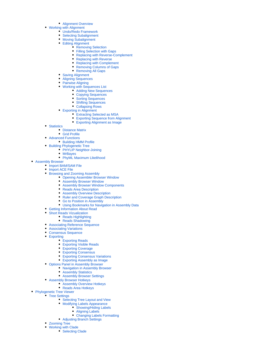- [Alignment Overview](https://doc.ugene.net/wiki/display/UUOUM16/Alignment+Overview)
- [Working with Alignment](https://doc.ugene.net/wiki/display/UUOUM16/Working+with+Alignment)
	- [Undo/Redo Framework](https://doc.ugene.net/wiki/pages/viewpage.action?pageId=14059021)
	- [Selecting Subalignment](https://doc.ugene.net/wiki/display/UUOUM16/Selecting+Subalignment)
	- [Moving Subalignment](https://doc.ugene.net/wiki/display/UUOUM16/Moving+Subalignment)
		- [Editing Alignment](https://doc.ugene.net/wiki/display/UUOUM16/Editing+Alignment)
			- [Removing Selection](https://doc.ugene.net/wiki/display/UUOUM16/Removing+Selection) [Filling Selection with Gaps](https://doc.ugene.net/wiki/display/UUOUM16/Filling+Selection+with+Gaps)
			- $\bullet$ [Replacing with Reverse-Complement](https://doc.ugene.net/wiki/display/UUOUM16/Replacing+with+Reverse-Complement)
			- $\bullet$ [Replacing with Reverse](https://doc.ugene.net/wiki/display/UUOUM16/Replacing+with+Reverse)
			- $\bullet$ [Replacing with Complement](https://doc.ugene.net/wiki/display/UUOUM16/Replacing+with+Complement)
			- [Removing Columns of Gaps](https://doc.ugene.net/wiki/display/UUOUM16/Removing+Columns+of+Gaps)
			- [Removing All Gaps](https://doc.ugene.net/wiki/display/UUOUM16/Removing+All+Gaps)
	- [Saving Alignment](https://doc.ugene.net/wiki/display/UUOUM16/Saving+Alignment)
	- [Aligning Sequences](https://doc.ugene.net/wiki/display/UUOUM16/Aligning+Sequences)
	- [Pairwise Aligning](https://doc.ugene.net/wiki/display/UUOUM16/Pairwise+Aligning)
	- [Working with Sequences List](https://doc.ugene.net/wiki/display/UUOUM16/Working+with+Sequences+List)
		- [Adding New Sequences](https://doc.ugene.net/wiki/display/UUOUM16/Adding+New+Sequences)
		- [Copying Sequences](https://doc.ugene.net/wiki/display/UUOUM16/Copying+Sequences)
		- [Sorting Sequences](https://doc.ugene.net/wiki/display/UUOUM16/Sorting+Sequences)  $\bullet$
		- $\bullet$ [Shifting Sequences](https://doc.ugene.net/wiki/display/UUOUM16/Shifting+Sequences)
		- [Collapsing Rows](https://doc.ugene.net/wiki/display/UUOUM16/Collapsing+Rows)
	- [Exporting in Alignment](https://doc.ugene.net/wiki/display/UUOUM16/Exporting+in+Alignment)
		- [Extracting Selected as MSA](https://doc.ugene.net/wiki/display/UUOUM16/Extracting+Selected+as+MSA)
		- [Exporting Sequence from Alignment](https://doc.ugene.net/wiki/display/UUOUM16/Exporting+Sequence+from+Alignment) [Exporting Alignment as Image](https://doc.ugene.net/wiki/display/UUOUM16/Exporting+Alignment+as+Image)
- [Statistics](https://doc.ugene.net/wiki/display/UUOUM16/Statistics)
	- [Distance Matrix](https://doc.ugene.net/wiki/display/UUOUM16/Distance+Matrix)
	- [Grid Profile](https://doc.ugene.net/wiki/display/UUOUM16/Grid+Profile)
- [Advanced Functions](https://doc.ugene.net/wiki/display/UUOUM16/Advanced+Functions)
	- [Building HMM Profile](https://doc.ugene.net/wiki/display/UUOUM16/Building+HMM+Profile)
- [Building Phylogenetic Tree](https://doc.ugene.net/wiki/display/UUOUM16/Building+Phylogenetic+Tree)
	- [PHYLIP Neighbor-Joining](https://doc.ugene.net/wiki/display/UUOUM16/PHYLIP+Neighbor-Joining)
	- [MrBayes](https://doc.ugene.net/wiki/display/UUOUM16/MrBayes)
	- [PhyML Maximum Likelihood](https://doc.ugene.net/wiki/display/UUOUM16/PhyML+Maximum+Likelihood)
- [Assembly Browser](https://doc.ugene.net/wiki/display/UUOUM16/Assembly+Browser)
	- [Import BAM/SAM File](https://doc.ugene.net/wiki/pages/viewpage.action?pageId=14059055)
	- [Import ACE File](https://doc.ugene.net/wiki/display/UUOUM16/Import+ACE+File)
	- [Browsing and Zooming Assembly](https://doc.ugene.net/wiki/display/UUOUM16/Browsing+and+Zooming+Assembly)
		- [Opening Assembler Browser Window](https://doc.ugene.net/wiki/display/UUOUM16/Opening+Assembler+Browser+Window)
			- [Assembly Browser Window](https://doc.ugene.net/wiki/display/UUOUM16/Assembly+Browser+Window)
			- $\bullet$ [Assembly Browser Window Components](https://doc.ugene.net/wiki/display/UUOUM16/Assembly+Browser+Window+Components)
			- [Reads Area Description](https://doc.ugene.net/wiki/display/UUOUM16/Reads+Area+Description)  $\bullet$
			- **[Assembly Overview Description](https://doc.ugene.net/wiki/display/UUOUM16/Assembly+Overview+Description)**
			- $\bullet$ [Ruler and Coverage Graph Description](https://doc.ugene.net/wiki/display/UUOUM16/Ruler+and+Coverage+Graph+Description)
			- [Go to Position in Assembly](https://doc.ugene.net/wiki/display/UUOUM16/Go+to+Position+in+Assembly)
		- [Using Bookmarks for Navigation in Assembly Data](https://doc.ugene.net/wiki/display/UUOUM16/Using+Bookmarks+for+Navigation+in+Assembly+Data)
	- [Getting Information About Read](https://doc.ugene.net/wiki/display/UUOUM16/Getting+Information+About+Read)
	- [Short Reads Vizualization](https://doc.ugene.net/wiki/display/UUOUM16/Short+Reads+Vizualization)
		- [Reads Highlighting](https://doc.ugene.net/wiki/display/UUOUM16/Reads+Highlighting)
		- [Reads Shadowing](https://doc.ugene.net/wiki/display/UUOUM16/Reads+Shadowing)
	- [Associating Reference Sequence](https://doc.ugene.net/wiki/display/UUOUM16/Associating+Reference+Sequence)
	- [Associating Variations](https://doc.ugene.net/wiki/display/UUOUM16/Associating+Variations)
	- [Consensus Sequence](https://doc.ugene.net/wiki/display/UUOUM16/Consensus+Sequence)
	- [Exporting](https://doc.ugene.net/wiki/display/UUOUM16/Exporting)
		- [Exporting Reads](https://doc.ugene.net/wiki/display/UUOUM16/Exporting+Reads)
			-
			- [Exporting Visible Reads](https://doc.ugene.net/wiki/display/UUOUM16/Exporting+Visible+Reads)
		- [Exporting Coverage](https://doc.ugene.net/wiki/display/UUOUM16/Exporting+Coverage) [Exporting Consensus](https://doc.ugene.net/wiki/display/UUOUM16/Exporting+Consensus)
		-
		- [Exporting Consensus Variations](https://doc.ugene.net/wiki/display/UUOUM16/Exporting+Consensus+Variations)
		- [Exporting Assembly as Image](https://doc.ugene.net/wiki/display/UUOUM16/Exporting+Assembly+as+Image)
	- [Options Panel in Assembly Browser](https://doc.ugene.net/wiki/display/UUOUM16/Options+Panel+in+Assembly+Browser)
		- [Navigation in Assembly Browser](https://doc.ugene.net/wiki/display/UUOUM16/Navigation+in+Assembly+Browser)
		- [Assembly Statistics](https://doc.ugene.net/wiki/display/UUOUM16/Assembly+Statistics)
		- **[Assembly Browser Settings](https://doc.ugene.net/wiki/display/UUOUM16/Assembly+Browser+Settings)**
	- [Assembly Browser Hotkeys](https://doc.ugene.net/wiki/display/UUOUM16/Assembly+Browser+Hotkeys)
		- [Assembly Overview Hotkeys](https://doc.ugene.net/wiki/display/UUOUM16/Assembly+Overview+Hotkeys)
		- [Reads Area Hotkeys](https://doc.ugene.net/wiki/display/UUOUM16/Reads+Area+Hotkeys)
- **[Phylogenetic Tree Viewer](https://doc.ugene.net/wiki/display/UUOUM16/Phylogenetic+Tree+Viewer)** 
	- [Tree Settings](https://doc.ugene.net/wiki/display/UUOUM16/Tree+Settings)
		- [Selecting Tree Layout and View](https://doc.ugene.net/wiki/display/UUOUM16/Selecting+Tree+Layout+and+View)
		- [Modifying Labels Appearance](https://doc.ugene.net/wiki/display/UUOUM16/Modifying+Labels+Appearance)
			- [Showing/Hiding Labels](https://doc.ugene.net/wiki/pages/viewpage.action?pageId=14059092)
			- [Aligning Labels](https://doc.ugene.net/wiki/display/UUOUM16/Aligning+Labels)
			- [Changing Labels Formatting](https://doc.ugene.net/wiki/display/UUOUM16/Changing+Labels+Formatting)
		- [Adjusting Branch Settings](https://doc.ugene.net/wiki/display/UUOUM16/Adjusting+Branch+Settings)
	- [Zooming Tree](https://doc.ugene.net/wiki/display/UUOUM16/Zooming+Tree)
	- [Working with Clade](https://doc.ugene.net/wiki/display/UUOUM16/Working+with+Clade)
		- [Selecting Clade](https://doc.ugene.net/wiki/display/UUOUM16/Selecting+Clade)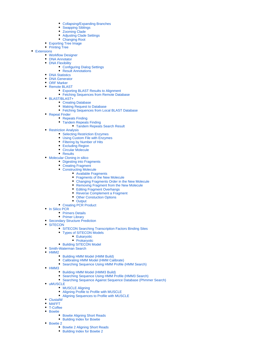- [Collapsing/Expanding Branches](https://doc.ugene.net/wiki/pages/viewpage.action?pageId=14059098)
- [Swapping Siblings](https://doc.ugene.net/wiki/display/UUOUM16/Swapping+Siblings)
- $\bullet$ [Zooming Clade](https://doc.ugene.net/wiki/display/UUOUM16/Zooming+Clade)
- [Adjusting Clade Settings](https://doc.ugene.net/wiki/display/UUOUM16/Adjusting+Clade+Settings)
- [Changing Root](https://doc.ugene.net/wiki/display/UUOUM16/Changing+Root)
- [Exporting Tree Image](https://doc.ugene.net/wiki/display/UUOUM16/Exporting+Tree+Image) • [Printing Tree](https://doc.ugene.net/wiki/display/UUOUM16/Printing+Tree)
- **[Extensions](https://doc.ugene.net/wiki/display/UUOUM16/Extensions)** 
	- [Workflow Designer](https://doc.ugene.net/wiki/display/UUOUM16/Workflow+Designer)
	- **[DNA Annotator](https://doc.ugene.net/wiki/display/UUOUM16/DNA+Annotator)**
	- **[DNA Flexibility](https://doc.ugene.net/wiki/display/UUOUM16/DNA+Flexibility)** 
		- [Configuring Dialog Settings](https://doc.ugene.net/wiki/display/UUOUM16/Configuring+Dialog+Settings) • [Result Annotations](https://doc.ugene.net/wiki/display/UUOUM16/Result+Annotations)
		-
	- **[DNA Statistics](https://doc.ugene.net/wiki/display/UUOUM16/DNA+Statistics)** • **[DNA Generator](https://doc.ugene.net/wiki/display/UUOUM16/DNA+Generator)**
	- [ORF Marker](https://doc.ugene.net/wiki/display/UUOUM16/ORF+Marker)
	- [Remote BLAST](https://doc.ugene.net/wiki/display/UUOUM16/Remote+BLAST)
		- [Exporting BLAST Results to Alignment](https://doc.ugene.net/wiki/display/UUOUM16/Exporting+BLAST+Results+to+Alignment)
		- [Fetching Sequences from Remote Database](https://doc.ugene.net/wiki/display/UUOUM16/Fetching+Sequences+from+Remote+Database)
	- [BLAST/BLAST+](https://doc.ugene.net/wiki/pages/viewpage.action?pageId=14059179)
		- [Creating Database](https://doc.ugene.net/wiki/display/UUOUM16/Creating+Database)
			- [Making Request to Database](https://doc.ugene.net/wiki/display/UUOUM16/Making+Request+to+Database)
			- [Fetching Sequences from Local BLAST Database](https://doc.ugene.net/wiki/display/UUOUM16/Fetching+Sequences+from+Local+BLAST+Database)
	- [Repeat Finder](https://doc.ugene.net/wiki/display/UUOUM16/Repeat+Finder)
		- [Repeats Finding](https://doc.ugene.net/wiki/display/UUOUM16/Repeats+Finding)
		- [Tandem Repeats Finding](https://doc.ugene.net/wiki/display/UUOUM16/Tandem+Repeats+Finding)
			- [Tandem Repeats Search Result](https://doc.ugene.net/wiki/display/UUOUM16/Tandem+Repeats+Search+Result)
	- [Restriction Analysis](https://doc.ugene.net/wiki/display/UUOUM16/Restriction+Analysis)
		- [Selecting Restriction Enzymes](https://doc.ugene.net/wiki/display/UUOUM16/Selecting+Restriction+Enzymes)
		- [Using Custom File with Enzymes](https://doc.ugene.net/wiki/display/UUOUM16/Using+Custom+File+with+Enzymes)
		- [Filtering by Number of Hits](https://doc.ugene.net/wiki/display/UUOUM16/Filtering+by+Number+of+Hits)
		- [Excluding Region](https://doc.ugene.net/wiki/display/UUOUM16/Excluding+Region)
		- [Circular Molecule](https://doc.ugene.net/wiki/display/UUOUM16/Circular+Molecule) • [Results](https://doc.ugene.net/wiki/display/UUOUM16/Results)
		-
	- [Molecular Cloning in silico](https://doc.ugene.net/wiki/display/UUOUM16/Molecular+Cloning+in+silico) • [Digesting into Fragments](https://doc.ugene.net/wiki/display/UUOUM16/Digesting+into+Fragments)
		- [Creating Fragment](https://doc.ugene.net/wiki/display/UUOUM16/Creating+Fragment)
		- [Constructing Molecule](https://doc.ugene.net/wiki/display/UUOUM16/Constructing+Molecule)
			- [Available Fragments](https://doc.ugene.net/wiki/display/UUOUM16/Available+Fragments)
			- [Fragments of the New Molecule](https://doc.ugene.net/wiki/display/UUOUM16/Fragments+of+the+New+Molecule)
			- [Changing Fragments Order in the New Molecule](https://doc.ugene.net/wiki/display/UUOUM16/Changing+Fragments+Order+in+the+New+Molecule)
			- [Removing Fragment from the New Molecule](https://doc.ugene.net/wiki/display/UUOUM16/Removing+Fragment+from+the+New+Molecule)
			- [Editing Fragment Overhangs](https://doc.ugene.net/wiki/display/UUOUM16/Editing+Fragment+Overhangs)
			- [Reverse Complement a Fragment](https://doc.ugene.net/wiki/display/UUOUM16/Reverse+Complement+a+Fragment)
			- [Other Constuction Options](https://doc.ugene.net/wiki/display/UUOUM16/Other+Constuction+Options)
			- [Output](https://doc.ugene.net/wiki/display/UUOUM16/Output)
		- [Creating PCR Product](https://doc.ugene.net/wiki/display/UUOUM16/Creating+PCR+Product)
	- [In Silico PCR](https://doc.ugene.net/wiki/display/UUOUM16/In+Silico+PCR)
		- [Primers Details](https://doc.ugene.net/wiki/display/UUOUM16/Primers+Details)
		- [Primer Library](https://doc.ugene.net/wiki/display/UUOUM16/Primer+Library)
	- [Secondary Structure Prediction](https://doc.ugene.net/wiki/display/UUOUM16/Secondary+Structure+Prediction)
	- [SITECON](https://doc.ugene.net/wiki/display/UUOUM16/SITECON)
		- [SITECON Searching Transcription Factors Binding Sites](https://doc.ugene.net/wiki/display/UUOUM16/SITECON+Searching+Transcription+Factors+Binding+Sites)
		- [Types of SITECON Models](https://doc.ugene.net/wiki/display/UUOUM16/Types+of+SITECON+Models)
			- [Eukaryotic](https://doc.ugene.net/wiki/display/UUOUM16/Eukaryotic)
			- [Prokaryotic](https://doc.ugene.net/wiki/display/UUOUM16/Prokaryotic)
		- [Building SITECON Model](https://doc.ugene.net/wiki/display/UUOUM16/Building+SITECON+Model)
	- [Smith-Waterman Search](https://doc.ugene.net/wiki/display/UUOUM16/Smith-Waterman+Search)
	- [HMM2](https://doc.ugene.net/wiki/display/UUOUM16/HMM2)
		- [Building HMM Model \(HMM Build\)](https://doc.ugene.net/wiki/pages/viewpage.action?pageId=14059149)
		- [Calibrating HMM Model \(HMM Calibrate\)](https://doc.ugene.net/wiki/pages/viewpage.action?pageId=14059150)  $\bullet$
		- [Searching Sequence Using HMM Profile \(HMM Search\)](https://doc.ugene.net/wiki/pages/viewpage.action?pageId=14059151)
	- $•$  [HMM3](https://doc.ugene.net/wiki/display/UUOUM16/HMM3)
		- [Building HMM Model \(HMM3 Build\)](https://doc.ugene.net/wiki/pages/viewpage.action?pageId=14059153)
		- [Searching Sequence Using HMM Profile \(HMM3 Search\)](https://doc.ugene.net/wiki/pages/viewpage.action?pageId=14059154)
		- [Searching Sequence Against Sequence Database \(Phmmer Search\)](https://doc.ugene.net/wiki/pages/viewpage.action?pageId=14059155)
	- [uMUSCLE](https://doc.ugene.net/wiki/display/UUOUM16/uMUSCLE)
		- [MUSCLE Aligning](https://doc.ugene.net/wiki/display/UUOUM16/MUSCLE+Aligning)
		- [Aligning Profile to Profile with MUSCLE](https://doc.ugene.net/wiki/display/UUOUM16/Aligning+Profile+to+Profile+with+MUSCLE)
		- [Aligning Sequences to Profile with MUSCLE](https://doc.ugene.net/wiki/display/UUOUM16/Aligning+Sequences+to+Profile+with+MUSCLE)
	- [ClustalW](https://doc.ugene.net/wiki/display/UUOUM16/ClustalW)
	- [MAFFT](https://doc.ugene.net/wiki/display/UUOUM16/MAFFT)
	- [T-Coffee](https://doc.ugene.net/wiki/display/UUOUM16/T-Coffee) • [Bowtie](https://doc.ugene.net/wiki/display/UUOUM16/Bowtie)
		- - [Bowtie Aligning Short Reads](https://doc.ugene.net/wiki/display/UUOUM16/Bowtie+Aligning+Short+Reads) [Building Index for Bowtie](https://doc.ugene.net/wiki/display/UUOUM16/Building+Index+for+Bowtie)
		-
	- [Bowtie 2](https://doc.ugene.net/wiki/display/UUOUM16/Bowtie+2)
		- [Bowtie 2 Aligning Short Reads](https://doc.ugene.net/wiki/display/UUOUM16/Bowtie+2+Aligning+Short+Reads) [Building Index for Bowtie 2](https://doc.ugene.net/wiki/display/UUOUM16/Building+Index+for+Bowtie+2)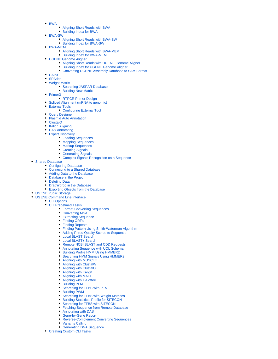- $\bullet$  RWA
	- [Aligning Short Reads with BWA](https://doc.ugene.net/wiki/display/UUOUM16/Aligning+Short+Reads+with+BWA)
	- [Building Index for BWA](https://doc.ugene.net/wiki/display/UUOUM16/Building+Index+for+BWA)
- [BWA-SW](https://doc.ugene.net/wiki/display/UUOUM16/BWA-SW)
	- [Aligning Short Reads with BWA-SW](https://doc.ugene.net/wiki/display/UUOUM16/Aligning+Short+Reads+with+BWA-SW)
	- [Building Index for BWA-SW](https://doc.ugene.net/wiki/display/UUOUM16/Building+Index+for+BWA-SW)
- [BWA-MEM](https://doc.ugene.net/wiki/display/UUOUM16/BWA-MEM)
	- [Aligning Short Reads with BWA-MEM](https://doc.ugene.net/wiki/display/UUOUM16/Aligning+Short+Reads+with+BWA-MEM)
	- [Building Index for BWA-MEM](https://doc.ugene.net/wiki/display/UUOUM16/Building+Index+for+BWA-MEM)
- [UGENE Genome Aligner](https://doc.ugene.net/wiki/display/UUOUM16/UGENE+Genome+Aligner)
	- [Aligning Short Reads with UGENE Genome Aligner](https://doc.ugene.net/wiki/display/UUOUM16/Aligning+Short+Reads+with+UGENE+Genome+Aligner)
	- [Building Index for UGENE Genome Aligner](https://doc.ugene.net/wiki/display/UUOUM16/Building+Index+for+UGENE+Genome+Aligner)
	- [Converting UGENE Assembly Database to SAM Format](https://doc.ugene.net/wiki/display/UUOUM16/Converting+UGENE+Assembly+Database+to+SAM+Format)
- $\bullet$  [CAP3](https://doc.ugene.net/wiki/display/UUOUM16/CAP3)
- [SPAdes](https://doc.ugene.net/wiki/display/UUOUM16/SPAdes)
- [Weight Matrix](https://doc.ugene.net/wiki/display/UUOUM16/Weight+Matrix)
	- [Searching JASPAR Database](https://doc.ugene.net/wiki/display/UUOUM16/Searching+JASPAR+Database)
	- [Building New Matrix](https://doc.ugene.net/wiki/display/UUOUM16/Building+New+Matrix)
- [Primer3](https://doc.ugene.net/wiki/display/UUOUM16/Primer3)
	- [RTPCR Primer Design](https://doc.ugene.net/wiki/display/UUOUM16/RTPCR+Primer+Design)
	- [Spliced Alignment \(mRNA to genomic\)](https://doc.ugene.net/wiki/pages/viewpage.action?pageId=14059196)
- [External Tools](https://doc.ugene.net/wiki/display/UUOUM16/External+Tools)
	- [Configuring External Tool](https://doc.ugene.net/wiki/display/UUOUM16/Configuring+External+Tool)
- [Query Designer](https://doc.ugene.net/wiki/display/UUOUM16/Query+Designer)
- **[Plasmid Auto Annotation](https://doc.ugene.net/wiki/display/UUOUM16/Plasmid+Auto+Annotation)**
- [ClustalO](https://doc.ugene.net/wiki/display/UUOUM16/ClustalO)
- [Kalign Aligning](https://doc.ugene.net/wiki/display/UUOUM16/Kalign+Aligning)
- [DAS Annotating](https://doc.ugene.net/wiki/display/UUOUM16/DAS+Annotating)
- [Expert Discovery](https://doc.ugene.net/wiki/display/UUOUM16/Expert+Discovery)
	- [Loading Sequences](https://doc.ugene.net/wiki/display/UUOUM16/Loading+Sequences)
	- [Mapping Sequences](https://doc.ugene.net/wiki/display/UUOUM16/Mapping+Sequences)
	- **[Markup Sequences](https://doc.ugene.net/wiki/display/UUOUM16/Markup+Sequences)** • [Creating Signals](https://doc.ugene.net/wiki/display/UUOUM16/Creating+Signals)
	-
	- **[Generating Signals](https://doc.ugene.net/wiki/display/UUOUM16/Generating+Signals)** [Complex Signals Recognition on a Sequence](https://doc.ugene.net/wiki/display/UUOUM16/Complex+Signals+Recognition+on+a+Sequence)
- [Shared Database](https://doc.ugene.net/wiki/display/UUOUM16/Shared+Database)
	- [Configuring Database](https://doc.ugene.net/wiki/display/UUOUM16/Configuring+Database)
	- [Connecting to a Shared Database](https://doc.ugene.net/wiki/display/UUOUM16/Connecting+to+a+Shared+Database)
	- [Adding Data to the Database](https://doc.ugene.net/wiki/display/UUOUM16/Adding+Data+to+the+Database)
	- [Database in the Project](https://doc.ugene.net/wiki/display/UUOUM16/Database+in+the+Project)
	- [Deleting Data](https://doc.ugene.net/wiki/display/UUOUM16/Deleting+Data)
	- [Drag'n'drop in the Database](https://doc.ugene.net/wiki/display/UUOUM16/Drag%27n%27drop+in+the+Database)
	- [Exporting Objects from the Database](https://doc.ugene.net/wiki/display/UUOUM16/Exporting+Objects+from+the+Database)
- [UGENE Public Storage](https://doc.ugene.net/wiki/display/UUOUM16/UGENE+Public+Storage)
- [UGENE Command Line Interface](https://doc.ugene.net/wiki/display/UUOUM16/UGENE+Command+Line+Interface)
- [CLI Options](https://doc.ugene.net/wiki/display/UUOUM16/CLI+Options)
	- [CLI Predefined Tasks](https://doc.ugene.net/wiki/display/UUOUM16/CLI+Predefined+Tasks)
		- [Format Converting Sequences](https://doc.ugene.net/wiki/display/UUOUM16/Format+Converting+Sequences)
		- [Converting MSA](https://doc.ugene.net/wiki/display/UUOUM16/Converting+MSA)
		- [Extracting Sequence](https://doc.ugene.net/wiki/display/UUOUM16/Extracting+Sequence)
		- [Finding ORFs](https://doc.ugene.net/wiki/display/UUOUM16/Finding+ORFs)
		- [Finding Repeats](https://doc.ugene.net/wiki/display/UUOUM16/Finding+Repeats)
		- [Finding Pattern Using Smith-Waterman Algorithm](https://doc.ugene.net/wiki/display/UUOUM16/Finding+Pattern+Using+Smith-Waterman+Algorithm)
		- [Adding Phred Quality Scores to Sequence](https://doc.ugene.net/wiki/display/UUOUM16/Adding+Phred+Quality+Scores+to+Sequence)
		- [Local BLAST Search](https://doc.ugene.net/wiki/display/UUOUM16/Local+BLAST+Search)
		- [Local BLAST+ Search](https://doc.ugene.net/wiki/pages/viewpage.action?pageId=14059220)
		- [Remote NCBI BLAST and CDD Requests](https://doc.ugene.net/wiki/display/UUOUM16/Remote+NCBI+BLAST+and+CDD+Requests)
		- [Annotating Sequence with UQL Schema](https://doc.ugene.net/wiki/display/UUOUM16/Annotating+Sequence+with+UQL+Schema)
		- [Building Profile HMM Using HMMER2](https://doc.ugene.net/wiki/display/UUOUM16/Building+Profile+HMM+Using+HMMER2)
		- [Searching HMM Signals Using HMMER2](https://doc.ugene.net/wiki/display/UUOUM16/Searching+HMM+Signals+Using+HMMER2)
		- [Aligning with MUSCLE](https://doc.ugene.net/wiki/display/UUOUM16/Aligning+with+MUSCLE)
		- [Aligning with ClustalW](https://doc.ugene.net/wiki/display/UUOUM16/Aligning+with+ClustalW)
		- [Aligning with ClustalO](https://doc.ugene.net/wiki/display/UUOUM16/Aligning+with+ClustalO)
		- [Aligning with Kalign](https://doc.ugene.net/wiki/display/UUOUM16/Aligning+with+Kalign)
		- [Aligning with MAFFT](https://doc.ugene.net/wiki/display/UUOUM16/Aligning+with+MAFFT)
		- [Aligning with T-Coffee](https://doc.ugene.net/wiki/display/UUOUM16/Aligning+with+T-Coffee)
		- [Building PFM](https://doc.ugene.net/wiki/display/UUOUM16/Building+PFM)
		- [Searching for TFBS with PFM](https://doc.ugene.net/wiki/display/UUOUM16/Searching+for+TFBS+with+PFM)
		- [Building PWM](https://doc.ugene.net/wiki/display/UUOUM16/Building+PWM)
		- [Searching for TFBS with Weight Matrices](https://doc.ugene.net/wiki/display/UUOUM16/Searching+for+TFBS+with+Weight+Matrices)
		- [Building Statistical Profile for SITECON](https://doc.ugene.net/wiki/display/UUOUM16/Building+Statistical+Profile+for+SITECON)
		- [Searching for TFBS with SITECON](https://doc.ugene.net/wiki/display/UUOUM16/Searching+for+TFBS+with+SITECON)
		- [Fetching Sequence from Remote Database](https://doc.ugene.net/wiki/display/UUOUM16/Fetching+Sequence+from+Remote+Database)
		- [Annotating with DAS](https://doc.ugene.net/wiki/display/UUOUM16/Annotating+with+DAS)
		- [Gene-by-Gene Report](https://doc.ugene.net/wiki/display/UUOUM16/Gene-by-Gene+Report)
		- [Reverse-Complement Converting Sequences](https://doc.ugene.net/wiki/display/UUOUM16/Reverse-Complement+Converting+Sequences)
		- [Variants Calling](https://doc.ugene.net/wiki/display/UUOUM16/Variants+Calling)
		- [Generating DNA Sequence](https://doc.ugene.net/wiki/display/UUOUM16/Generating+DNA+Sequence)
	- [Creating Custom CLI Tasks](https://doc.ugene.net/wiki/display/UUOUM16/Creating+Custom+CLI+Tasks)